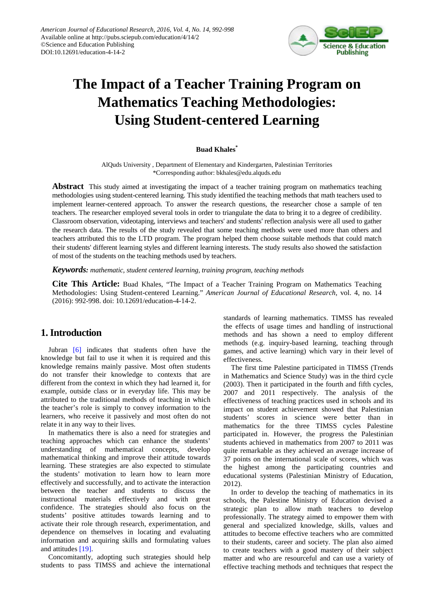

# **The Impact of a Teacher Training Program on Mathematics Teaching Methodologies: Using Student-centered Learning**

#### **Buad Khales\***

AlQuds University , Department of Elementary and Kindergarten, Palestinian Territories \*Corresponding author: bkhales@edu.alquds.edu

**Abstract** This study aimed at investigating the impact of a teacher training program on mathematics teaching methodologies using student-centered learning. This study identified the teaching methods that math teachers used to implement learner-centered approach. To answer the research questions, the researcher chose a sample of ten teachers. The researcher employed several tools in order to triangulate the data to bring it to a degree of credibility. Classroom observation, videotaping, interviews and teachers' and students' reflection analysis were all used to gather the research data. The results of the study revealed that some teaching methods were used more than others and teachers attributed this to the LTD program. The program helped them choose suitable methods that could match their students' different learning styles and different learning interests. The study results also showed the satisfaction of most of the students on the teaching methods used by teachers.

*Keywords: mathematic, student centered learning, training program, teaching methods*

**Cite This Article:** Buad Khales, "The Impact of a Teacher Training Program on Mathematics Teaching Methodologies: Using Student-centered Learning." *American Journal of Educational Research*, vol. 4, no. 14 (2016): 992-998. doi: 10.12691/education-4-14-2.

# **1. Introduction**

Jubran [\[6\]](#page-6-0) indicates that students often have the knowledge but fail to use it when it is required and this knowledge remains mainly passive. Most often students do not transfer their knowledge to contexts that are different from the context in which they had learned it, for example, outside class or in everyday life. This may be attributed to the traditional methods of teaching in which the teacher's role is simply to convey information to the learners, who receive it passively and most often do not relate it in any way to their lives.

In mathematics there is also a need for strategies and teaching approaches which can enhance the students' understanding of mathematical concepts, develop mathematical thinking and improve their attitude towards learning. These strategies are also expected to stimulate the students' motivation to learn how to learn more effectively and successfully, and to activate the interaction between the teacher and students to discuss the instructional materials effectively and with great confidence. The strategies should also focus on the students' positive attitudes towards learning and to activate their role through research, experimentation, and dependence on themselves in locating and evaluating information and acquiring skills and formulating values and attitudes [\[19\].](#page-6-1)

Concomitantly, adopting such strategies should help students to pass TIMSS and achieve the international standards of learning mathematics. TIMSS has revealed the effects of usage times and handling of instructional methods and has shown a need to employ different methods (e.g. inquiry-based learning, teaching through games, and active learning) which vary in their level of effectiveness.

The first time Palestine participated in TIMSS (Trends in Mathematics and Science Study) was in the third cycle (2003). Then it participated in the fourth and fifth cycles, 2007 and 2011 respectively. The analysis of the effectiveness of teaching practices used in schools and its impact on student achievement showed that Palestinian students' scores in science were better than in mathematics for the three TIMSS cycles Palestine participated in. However, the progress the Palestinian students achieved in mathematics from 2007 to 2011 was quite remarkable as they achieved an average increase of 37 points on the international scale of scores, which was the highest among the participating countries and educational systems (Palestinian Ministry of Education, 2012).

In order to develop the teaching of mathematics in its schools, the Palestine Ministry of Education devised a strategic plan to allow math teachers to develop professionally. The strategy aimed to empower them with general and specialized knowledge, skills, values and attitudes to become effective teachers who are committed to their students, career and society. The plan also aimed to create teachers with a good mastery of their subject matter and who are resourceful and can use a variety of effective teaching methods and techniques that respect the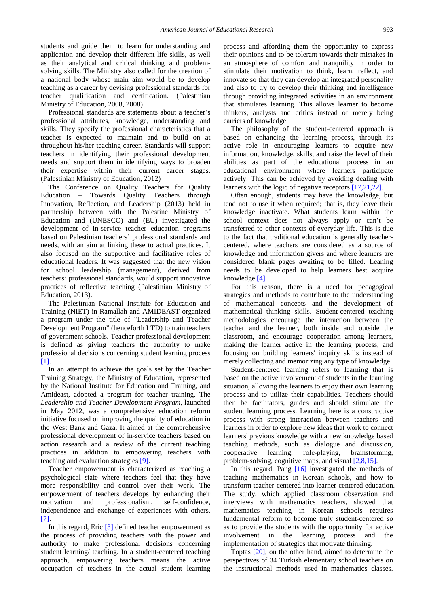students and guide them to learn for understanding and application and develop their different life skills, as well as their analytical and critical thinking and problemsolving skills. The Ministry also called for the creation of a national body whose main aim would be to develop teaching as a career by devising professional standards for teacher qualification and certification. (Palestinian Ministry of Education, 2008, 2008)

Professional standards are statements about a teacher's professional attributes, knowledge, understanding and skills. They specify the professional characteristics that a teacher is expected to maintain and to build on at throughout his/her teaching career. Standards will support teachers in identifying their professional development needs and support them in identifying ways to broaden their expertise within their current career stages. (Palestinian Ministry of Education, 2012)

The Conference on Quality Teachers for Quality Education – Towards Quality Teachers through Innovation, Reflection, and Leadership (2013) held in partnership between with the Palestine Ministry of Education and (UNESCO) and (EU) investigated the development of in-service teacher education programs based on Palestinian teachers' professional standards and needs, with an aim at linking these to actual practices. It also focused on the supportive and facilitative roles of educational leaders. It was suggested that the new vision for school leadership (management), derived from teachers' professional standards, would support innovative practices of reflective teaching (Palestinian Ministry of Education, 2013).

The Palestinian National Institute for Education and Training (NIET) in Ramallah and AMIDEAST organized a program under the title of "Leadership and Teacher Development Program" (henceforth LTD) to train teachers of government schools. Teacher professional development is defined as giving teachers the authority to make professional decisions concerning student learning process [\[1\].](#page-6-2)

In an attempt to achieve the goals set by the Teacher Training Strategy, the Ministry of Education, represented by the National Institute for Education and Training, and Amideast, adopted a program for teacher training. The *Leadership and Teacher Development Program*, launched in May 2012, was a comprehensive education reform initiative focused on improving the quality of education in the West Bank and Gaza. It aimed at the comprehensive professional development of in-service teachers based on action research and a review of the current teaching practices in addition to empowering teachers with teaching and evaluation strategies [\[9\].](#page-6-3)

Teacher empowerment is characterized as reaching a psychological state where teachers feel that they have more responsibility and control over their work. The empowerment of teachers develops by enhancing their motivation and professionalism, self-confidence, independence and exchange of experiences with others. [\[7\].](#page-6-4) 

In this regard, Eric [\[3\]](#page-6-5) defined teacher empowerment as the process of providing teachers with the power and authority to make professional decisions concerning student learning/ teaching. In a student-centered teaching approach, empowering teachers means the active occupation of teachers in the actual student learning process and affording them the opportunity to express their opinions and to be tolerant towards their mistakes in an atmosphere of comfort and tranquility in order to stimulate their motivation to think, learn, reflect, and innovate so that they can develop an integrated personality and also to try to develop their thinking and intelligence through providing integrated activities in an environment that stimulates learning. This allows learner to become thinkers, analysts and critics instead of merely being carriers of knowledge.

The philosophy of the student-centered approach is based on enhancing the learning process, through its active role in encouraging learners to acquire new information, knowledge, skills, and raise the level of their abilities as part of the educational process in an educational environment where learners participate actively. This can be achieved by avoiding dealing with learners with the logic of negative receptors [\[17,21,22\].](#page-6-6)

Often enough, students may have the knowledge, but tend not to use it when required; that is, they leave their knowledge inactivate. What students learn within the school context does not always apply or can't be transferred to other contexts of everyday life. This is due to the fact that traditional education is generally teachercentered, where teachers are considered as a source of knowledge and information givers and where learners are considered blank pages awaiting to be filled. Leaning needs to be developed to help learners best acquire knowledge [\[4\].](#page-6-7)

For this reason, there is a need for pedagogical strategies and methods to contribute to the understanding of mathematical concepts and the development of mathematical thinking skills. Student-centered teaching methodologies encourage the interaction between the teacher and the learner, both inside and outside the classroom, and encourage cooperation among learners, making the learner active in the learning process, and focusing on building learners' inquiry skills instead of merely collecting and memorizing any type of knowledge.

Student-centered learning refers to learning that is based on the active involvement of students in the learning situation, allowing the learners to enjoy their own learning process and to utilize their capabilities. Teachers should then be facilitators, guides and should stimulate the student learning process. Learning here is a constructive process with strong interaction between teachers and learners in order to explore new ideas that work to connect learners' previous knowledge with a new knowledge based teaching methods, such as dialogue and discussion, cooperative learning, role-playing, brainstorming, problem-solving, cognitive maps, and visual [\[2,8,15\].](#page-6-8)

In this regard, Pang [\[16\]](#page-6-9) investigated the methods of teaching mathematics in Korean schools, and how to transform teacher-centered into learner-centered education. The study, which applied classroom observation and interviews with mathematics teachers, showed that mathematics teaching in Korean schools requires fundamental reform to become truly student-centered so as to provide the students with the opportunity for active involvement in the learning process and the implementation of strategies that motivate thinking.

Toptas [\[20\],](#page-6-10) on the other hand, aimed to determine the perspectives of 34 Turkish elementary school teachers on the instructional methods used in mathematics classes.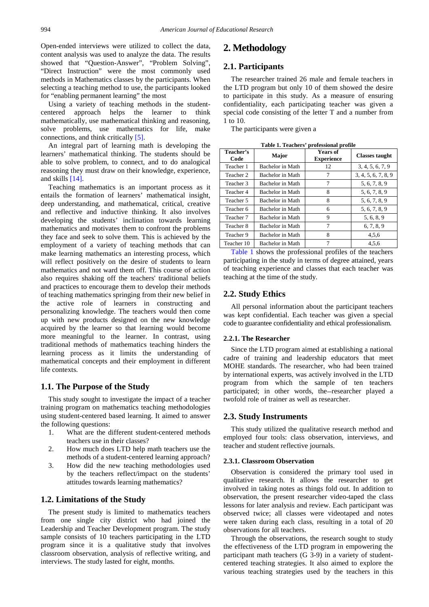Open-ended interviews were utilized to collect the data, content analysis was used to analyze the data. The results showed that "Question-Answer", "Problem Solving", "Direct Instruction" were the most commonly used methods in Mathematics classes by the participants. When selecting a teaching method to use, the participants looked for "enabling permanent learning" the most

Using a variety of teaching methods in the studentcentered approach helps the learner to think mathematically, use mathematical thinking and reasoning, solve problems, use mathematics for life, make connections, and think critically [\[5\].](#page-6-11)

An integral part of learning math is developing the learners' mathematical thinking. The students should be able to solve problem, to connect, and to do analogical reasoning they must draw on their knowledge, experience, and skills [\[14\].](#page-6-12)

Teaching mathematics is an important process as it entails the formation of learners' mathematical insight, deep understanding, and mathematical, critical, creative and reflective and inductive thinking. It also involves developing the students' inclination towards learning mathematics and motivates them to confront the problems they face and seek to solve them. This is achieved by the employment of a variety of teaching methods that can make learning mathematics an interesting process, which will reflect positively on the desire of students to learn mathematics and not ward them off. This course of action also requires shaking off the teachers' traditional beliefs and practices to encourage them to develop their methods of teaching mathematics springing from their new belief in the active role of learners in constructing and personalizing knowledge. The teachers would then come up with new products designed on the new knowledge acquired by the learner so that learning would become more meaningful to the learner. In contrast, using traditional methods of mathematics teaching hinders the learning process as it limits the understanding of mathematical concepts and their employment in different life contexts.

#### **1.1. The Purpose of the Study**

This study sought to investigate the impact of a teacher training program on mathematics teaching methodologies using student-centered based learning. It aimed to answer the following questions:

- 1. What are the different student-centered methods teachers use in their classes?
- 2. How much does LTD help math teachers use the methods of a student-centered learning approach?
- 3. How did the new teaching methodologies used by the teachers reflect/impact on the students' attitudes towards learning mathematics?

#### **1.2. Limitations of the Study**

The present study is limited to mathematics teachers from one single city district who had joined the Leadership and Teacher Development program. The study sample consists of 10 teachers participating in the LTD program since it is a qualitative study that involves classroom observation, analysis of reflective writing, and interviews. The study lasted for eight, months.

### **2. Methodology**

#### **2.1. Participants**

The researcher trained 26 male and female teachers in the LTD program but only 10 of them showed the desire to participate in this study. As a measure of ensuring confidentiality, each participating teacher was given a special code consisting of the letter T and a number from 1 to 10.

The participants were given a

<span id="page-2-0"></span>

| Table 1. Teachers' professional profile |                  |                                      |                       |  |  |  |
|-----------------------------------------|------------------|--------------------------------------|-----------------------|--|--|--|
| Teacher's<br>Code                       | Major            | <b>Years of</b><br><b>Experience</b> | <b>Classes taught</b> |  |  |  |
| Teacher 1                               | Bachelor in Math | 12                                   | 3, 4, 5, 6, 7, 9      |  |  |  |
| Teacher 2                               | Bachelor in Math | 7                                    | 3, 4, 5, 6, 7, 8, 9   |  |  |  |
| Teacher 3                               | Bachelor in Math | 7                                    | 5, 6, 7, 8, 9         |  |  |  |
| Teacher 4                               | Bachelor in Math | 8                                    | 5, 6, 7, 8, 9         |  |  |  |
| Teacher 5                               | Bachelor in Math | 8                                    | 5, 6, 7, 8, 9         |  |  |  |
| Teacher 6                               | Bachelor in Math | 6                                    | 5, 6, 7, 8, 9         |  |  |  |
| Teacher 7                               | Bachelor in Math | 9                                    | 5, 6, 8, 9            |  |  |  |
| Teacher 8                               | Bachelor in Math | 7                                    | 6, 7, 8, 9            |  |  |  |
| Teacher 9                               | Bachelor in Math | 8                                    | 4,5,6                 |  |  |  |
| Teacher 10                              | Bachelor in Math | 7                                    | 4.5.6                 |  |  |  |

[Table 1](#page-2-0) shows the professional profiles of the teachers participating in the study in terms of degree attained, years of teaching experience and classes that each teacher was teaching at the time of the study.

#### **2.2. Study Ethics**

All personal information about the participant teachers was kept confidential. Each teacher was given a special code to guarantee confidentiality and ethical professionalism.

#### **2.2.1. The Researcher**

Since the LTD program aimed at establishing a national cadre of training and leadership educators that meet MOHE standards. The researcher, who had been trained by international experts, was actively involved in the LTD program from which the sample of ten teachers participated; in other words, the–researcher played a twofold role of trainer as well as researcher.

#### **2.3. Study Instruments**

This study utilized the qualitative research method and employed four tools: class observation, interviews, and teacher and student reflective journals.

#### **2.3.1. Classroom Observation**

Observation is considered the primary tool used in qualitative research. It allows the researcher to get involved in taking notes as things fold out. In addition to observation, the present researcher video-taped the class lessons for later analysis and review. Each participant was observed twice; all classes were videotaped and notes were taken during each class, resulting in a total of 20 observations for all teachers.

Through the observations, the research sought to study the effectiveness of the LTD program in empowering the participant math teachers (G 3-9) in a variety of studentcentered teaching strategies. It also aimed to explore the various teaching strategies used by the teachers in this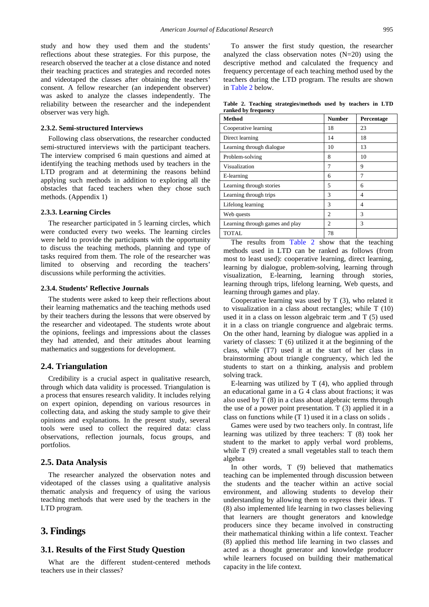study and how they used them and the students' reflections about these strategies. For this purpose, the research observed the teacher at a close distance and noted their teaching practices and strategies and recorded notes and videotaped the classes after obtaining the teachers' consent. A fellow researcher (an independent observer) was asked to analyze the classes independently. The reliability between the researcher and the independent observer was very high.

#### **2.3.2. Semi-structured Interviews**

Following class observations, the researcher conducted semi-structured interviews with the participant teachers. The interview comprised 6 main questions and aimed at identifying the teaching methods used by teachers in the LTD program and at determining the reasons behind applying such methods in addition to exploring all the obstacles that faced teachers when they chose such methods. (Appendix 1)

#### **2.3.3. Learning Circles**

The researcher participated in 5 learning circles, which were conducted every two weeks. The learning circles were held to provide the participants with the opportunity to discuss the teaching methods, planning and type of tasks required from them. The role of the researcher was limited to observing and recording the teachers' discussions while performing the activities.

#### **2.3.4. Students' Reflective Journals**

The students were asked to keep their reflections about their learning mathematics and the teaching methods used by their teachers during the lessons that were observed by the researcher and videotaped. The students wrote about the opinions, feelings and impressions about the classes they had attended, and their attitudes about learning mathematics and suggestions for development.

#### **2.4. Triangulation**

Credibility is a crucial aspect in qualitative research, through which data validity is processed. Triangulation is a process that ensures research validity. It includes relying on expert opinion, depending on various resources in collecting data, and asking the study sample to give their opinions and explanations. In the present study, several tools were used to collect the required data: class observations, reflection journals, focus groups, and portfolios.

#### **2.5. Data Analysis**

The researcher analyzed the observation notes and videotaped of the classes using a qualitative analysis thematic analysis and frequency of using the various teaching methods that were used by the teachers in the LTD program.

#### **3. Findings**

#### **3.1. Results of the First Study Question**

What are the different student-centered methods teachers use in their classes?

To answer the first study question, the researcher analyzed the class observation notes  $(N=20)$  using the descriptive method and calculated the frequency and frequency percentage of each teaching method used by the teachers during the LTD program. The results are shown in [Table 2](#page-3-0) below.

**Table 2. Teaching strategies/methods used by teachers in LTD ranked by frequency**

<span id="page-3-0"></span>

| Method                          | <b>Number</b>  | Percentage |
|---------------------------------|----------------|------------|
| Cooperative learning            | 18             | 23         |
| Direct learning                 | 14             | 18         |
| Learning through dialogue       | 10             | 13         |
| Problem-solving                 | 8              | 10         |
| Visualization                   | 7              | 9          |
| E-learning                      | 6              | 7          |
| Learning through stories        | 5              | 6          |
| Learning through trips          | 3              | 4          |
| Lifelong learning               | 3              | 4          |
| Web quests                      | $\overline{c}$ | 3          |
| Learning through games and play | $\overline{c}$ | 3          |
| <b>TOTAL</b>                    | 78             |            |

The results from [Table 2](#page-3-0) show that the teaching methods used in LTD can be ranked as follows (from most to least used): cooperative learning, direct learning, learning by dialogue, problem-solving, learning through visualization, E-learning, learning through stories, learning through trips, lifelong learning, Web quests, and learning through games and play.

Cooperative learning was used by T (3), who related it to visualization in a class about rectangles; while T (10) used it in a class on lesson algebraic term .and T (5) used it in a class on triangle congruence and algebraic terms. On the other hand, learning by dialogue was applied in a variety of classes: T (6) utilized it at the beginning of the class, while (T7) used it at the start of her class in brainstorming about triangle congruency, which led the students to start on a thinking, analysis and problem solving track.

E-learning was utilized by  $T(4)$ , who applied through an educational game in a G 4 class about fractions; it was also used by T (8) in a class about algebraic terms through the use of a power point presentation. T (3) applied it in a class on functions while (T 1) used it in a class on solids .

Games were used by two teachers only. In contrast, life learning was utilized by three teachers: T (8) took her student to the market to apply verbal word problems, while T (9) created a small vegetables stall to teach them algebra

In other words, T (9) believed that mathematics teaching can be implemented through discussion between the students and the teacher within an active social environment, and allowing students to develop their understanding by allowing them to express their ideas. T (8) also implemented life learning in two classes believing that learners are thought generators and knowledge producers since they became involved in constructing their mathematical thinking within a life context. Teacher (8) applied this method life learning in two classes and acted as a thought generator and knowledge producer while learners focused on building their mathematical capacity in the life context.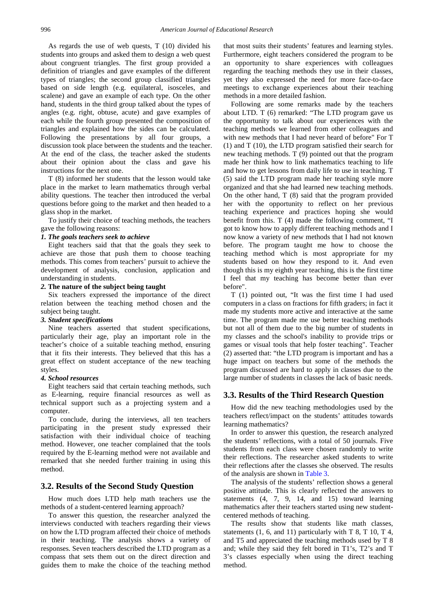As regards the use of web quests, T (10) divided his students into groups and asked them to design a web quest about congruent triangles. The first group provided a definition of triangles and gave examples of the different types of triangles; the second group classified triangles based on side length (e.g. equilateral, isosceles, and scalene) and gave an example of each type. On the other hand, students in the third group talked about the types of angles (e.g. right, obtuse, acute) and gave examples of each while the fourth group presented the composition of triangles and explained how the sides can be calculated. Following the presentations by all four groups, a discussion took place between the students and the teacher. At the end of the class, the teacher asked the students about their opinion about the class and gave his instructions for the next one.

T (8) informed her students that the lesson would take place in the market to learn mathematics through verbal ability questions. The teacher then introduced the verbal questions before going to the market and then headed to a glass shop in the market.

To justify their choice of teaching methods, the teachers gave the following reasons:

#### *1. The goals teachers seek to achieve*

Eight teachers said that that the goals they seek to achieve are those that push them to choose teaching methods. This comes from teachers' pursuit to achieve the development of analysis, conclusion, application and understanding in students.

#### *2.* **The nature of the subject being taught**

Six teachers expressed the importance of the direct relation between the teaching method chosen and the subject being taught.

#### *3. Student specifications*

Nine teachers asserted that student specifications, particularly their age, play an important role in the teacher's choice of a suitable teaching method, ensuring that it fits their interests. They believed that this has a great effect on student acceptance of the new teaching styles.

#### *4. School resources*

Eight teachers said that certain teaching methods, such as E-learning, require financial resources as well as technical support such as a projecting system and a computer.

To conclude, during the interviews, all ten teachers participating in the present study expressed their satisfaction with their individual choice of teaching method. However, one teacher complained that the tools required by the E-learning method were not available and remarked that she needed further training in using this method.

#### **3.2. Results of the Second Study Question**

How much does LTD help math teachers use the methods of a student-centered learning approach?

To answer this question, the researcher analyzed the interviews conducted with teachers regarding their views on how the LTD program affected their choice of methods in their teaching. The analysis shows a variety of responses. Seven teachers described the LTD program as a compass that sets them out on the direct direction and guides them to make the choice of the teaching method that most suits their students' features and learning styles. Furthermore, eight teachers considered the program to be an opportunity to share experiences with colleagues regarding the teaching methods they use in their classes, yet they also expressed the need for more face-to-face meetings to exchange experiences about their teaching methods in a more detailed fashion.

Following are some remarks made by the teachers about LTD. T (6) remarked: "The LTD program gave us the opportunity to talk about our experiences with the teaching methods we learned from other colleagues and with new methods that I had never heard of before" For T (1) and T (10), the LTD program satisfied their search for new teaching methods. T (9) pointed out that the program made her think how to link mathematics teaching to life and how to get lessons from daily life to use in teaching. T (5) said the LTD program made her teaching style more organized and that she had learned new teaching methods. On the other hand, T (8) said that the program provided her with the opportunity to reflect on her previous teaching experience and practices hoping she would benefit from this. T (4) made the following comment, "I got to know how to apply different teaching methods and I now know a variety of new methods that I had not known before. The program taught me how to choose the teaching method which is most appropriate for my students based on how they respond to it. And even though this is my eighth year teaching, this is the first time I feel that my teaching has become better than ever before".

T (1) pointed out, "It was the first time I had used computers in a class on fractions for fifth graders; in fact it made my students more active and interactive at the same time. The program made me use better teaching methods but not all of them due to the big number of students in my classes and the school's inability to provide trips or games or visual tools that help foster teaching". Teacher (2) asserted that: "the LTD program is important and has a huge impact on teachers but some of the methods the program discussed are hard to apply in classes due to the large number of students in classes the lack of basic needs.

#### **3.3. Results of the Third Research Question**

How did the new teaching methodologies used by the teachers reflect/impact on the students' attitudes towards learning mathematics?

In order to answer this question, the research analyzed the students' reflections, with a total of 50 journals. Five students from each class were chosen randomly to write their reflections. The researcher asked students to write their reflections after the classes she observed. The results of the analysis are shown in [Table 3.](#page-5-0)

The analysis of the students' reflection shows a general positive attitude. This is clearly reflected the answers to statements (4, 7, 9, 14, and 15) toward learning mathematics after their teachers started using new studentcentered methods of teaching.

The results show that students like math classes, statements  $(1, 6,$  and  $11)$  particularly with T 8, T 10, T 4, and T5 and appreciated the teaching methods used by T 8 and; while they said they felt bored in T1's, T2's and T 3's classes especially when using the direct teaching method.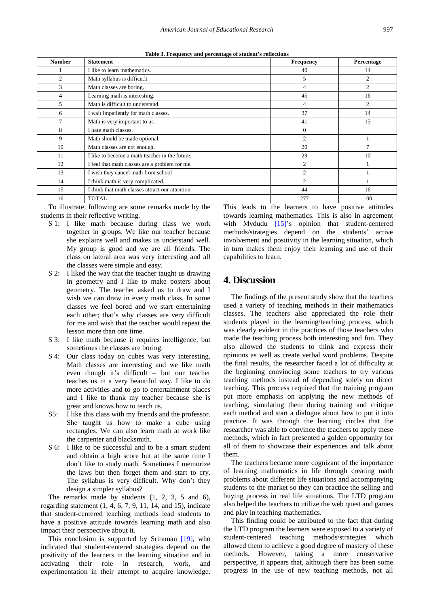| Table 3. Frequency and percentage of student's reflections |  |
|------------------------------------------------------------|--|
|                                                            |  |

| <b>Number</b>  | <b>Statement</b>                                 | <b>Frequency</b> | Percentage     |
|----------------|--------------------------------------------------|------------------|----------------|
|                | I like to learn mathematics.                     | 40               | 14             |
| $\overline{c}$ | Math syllabus is difficu.lt                      | 5                | $\overline{2}$ |
| 3              | Math classes are boring.                         | 4                | $\overline{2}$ |
| 4              | Learning math is interesting.                    | 45               | 16             |
| 5              | Math is difficult to understand.                 | 4                | 2              |
| 6              | I wait impatiently for math classes.             | 37               | 14             |
| 7              | Math is very important to us.                    | 41               | 15             |
| 8              | I hate math classes.                             | $\mathbf{0}$     |                |
| 9              | Math should be made optional.                    | 2                |                |
| 10             | Math classes are not enough.                     | 20               | $\mathcal{I}$  |
| 11             | I like to become a math teacher in the future.   | 29               | 10             |
| 12             | I feel that math classes are a problem for me.   | $\overline{2}$   |                |
| 13             | I wish they cancel math from school              | $\overline{c}$   |                |
| 14             | I think math is very complicated.                | $\overline{2}$   |                |
| 15             | I think that math classes attract our attention. | 44               | 16             |
| 16             | <b>TOTAL</b>                                     | 277              | 100            |

To illustrate, following are some remarks made by the students in their reflective writing.

- S 1: I like math because during class we work together in groups. We like our teacher because she explains well and makes us understand well. My group is good and we are all friends. The class on lateral area was very interesting and all the classes were simple and easy.
- S 2: I liked the way that the teacher taught us drawing in geometry and I like to make posters about geometry. The teacher asked us to draw and I wish we can draw in every math class. In some classes we feel bored and we start entertaining each other; that's why classes are very difficult for me and wish that the teacher would repeat the lesson more than one time.
- S 3: I like math because it requires intelligence, but sometimes the classes are boring.
- S 4: Our class today on cubes was very interesting. Math classes are interesting and we like math even though it's difficult – but our teacher teaches us in a very beautiful way. I like to do more activities and to go to entertainment places and I like to thank my teacher because she is great and knows how to teach us.
- S5: I like this class with my friends and the professor. She taught us how to make a cube using rectangles. We can also learn math at work like the carpenter and blacksmith.
- S 6: I like to be successful and to be a smart student and obtain a high score but at the same time I don't like to study math. Sometimes I memorize the laws but then forget them and start to cry. The syllabus is very difficult. Why don't they design a simpler syllabus?

The remarks made by students (1, 2, 3, 5 and 6), regarding statement  $(1, 4, 6, 7, 9, 11, 14, \text{ and } 15)$ , indicate that student-centered teaching methods lead students to have a positive attitude towards learning math and also impact their perspective about it.

This conclusion is supported by Sriraman [\[19\],](#page-6-1) who indicated that student-centered strategies depend on the positivity of the learners in the learning situation and in activating their role in research, work, and experimentation in their attempt to acquire knowledge. <span id="page-5-0"></span>This leads to the learners to have positive attitudes towards learning mathematics. This is also in agreement with Mydudu [\[15\]'](#page-6-13)s opinion that student-centered methods/strategies depend on the students' active involvement and positivity in the learning situation, which in turn makes them enjoy their learning and use of their capabilities to learn.

# **4. Discussion**

The findings of the present study show that the teachers used a variety of teaching methods in their mathematics classes. The teachers also appreciated the role their students played in the learning/teaching process, which was clearly evident in the practices of those teachers who made the teaching process both interesting and fun. They also allowed the students to think and express their opinions as well as create verbal word problems. Despite the final results, the researcher faced a lot of difficulty at the beginning convincing some teachers to try various teaching methods instead of depending solely on direct teaching. This process required that the training program put more emphasis on applying the new methods of teaching, simulating them during training and critique each method and start a dialogue about how to put it into practice. It was through the learning circles that the researcher was able to convince the teachers to apply these methods, which in fact presented a golden opportunity for all of them to showcase their experiences and talk about them.

The teachers became more cognizant of the importance of learning mathematics in life through creating math problems about different life situations and accompanying students to the market so they can practice the selling and buying process in real life situations. The LTD program also helped the teachers to utilize the web quest and games and play in teaching mathematics.

This finding could be attributed to the fact that during the LTD program the learners were exposed to a variety of student-centered teaching methods/strategies which allowed them to achieve a good degree of mastery of these methods. However, taking a more conservative perspective, it appears that, although there has been some progress in the use of new teaching methods, not all